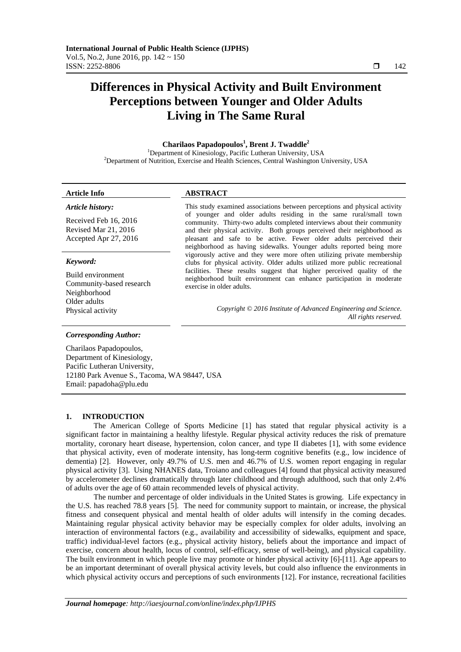# **Differences in Physical Activity and Built Environment Perceptions between Younger and Older Adults Living in The Same Rural**

# **Charilaos Papadopoulos<sup>1</sup> , Brent J. Twaddle2**

<sup>1</sup>Department of Kinesiology, Pacific Lutheran University, USA<br><sup>2</sup>Department of Nutrition, Exercise and Haelth Sciences, Control Weshington H  $<sup>2</sup>$ Department of Nutrition, Exercise and Health Sciences, Central Washington University, USA</sup>

*Article history:* 

# **Article Info ABSTRACT**

Received Feb 16, 2016 Revised Mar 21, 2016 Accepted Apr 27, 2016

#### *Keyword:*

Build environment Community-based research Neighborhood Older adults

This study examined associations between perceptions and physical activity of younger and older adults residing in the same rural/small town community. Thirty-two adults completed interviews about their community and their physical activity. Both groups perceived their neighborhood as pleasant and safe to be active. Fewer older adults perceived their neighborhood as having sidewalks. Younger adults reported being more vigorously active and they were more often utilizing private membership clubs for physical activity. Older adults utilized more public recreational facilities. These results suggest that higher perceived quality of the neighborhood built environment can enhance participation in moderate exercise in older adults.

Physical activity *Copyright © 2016 Institute of Advanced Engineering and Science. All rights reserved.* 

#### *Corresponding Author:*

Charilaos Papadopoulos, Department of Kinesiology, Pacific Lutheran University, 12180 Park Avenue S., Tacoma, WA 98447, USA Email: papadoha@plu.edu

# **1. INTRODUCTION**

The American College of Sports Medicine [1] has stated that regular physical activity is a significant factor in maintaining a healthy lifestyle. Regular physical activity reduces the risk of premature mortality, coronary heart disease, hypertension, colon cancer, and type II diabetes [1], with some evidence that physical activity, even of moderate intensity, has long-term cognitive benefits (e.g., low incidence of dementia) [2]. However, only 49.7% of U.S. men and 46.7% of U.S. women report engaging in regular physical activity [3]. Using NHANES data, Troiano and colleagues [4] found that physical activity measured by accelerometer declines dramatically through later childhood and through adulthood, such that only 2.4% of adults over the age of 60 attain recommended levels of physical activity.

The number and percentage of older individuals in the United States is growing. Life expectancy in the U.S. has reached 78.8 years [5]. The need for community support to maintain, or increase, the physical fitness and consequent physical and mental health of older adults will intensify in the coming decades. Maintaining regular physical activity behavior may be especially complex for older adults, involving an interaction of environmental factors (e.g., availability and accessibility of sidewalks, equipment and space, traffic) individual-level factors (e.g., physical activity history, beliefs about the importance and impact of exercise, concern about health, locus of control, self-efficacy, sense of well-being), and physical capability. The built environment in which people live may promote or hinder physical activity [6]-[11]. Age appears to be an important determinant of overall physical activity levels, but could also influence the environments in which physical activity occurs and perceptions of such environments [12]. For instance, recreational facilities

ֺֺ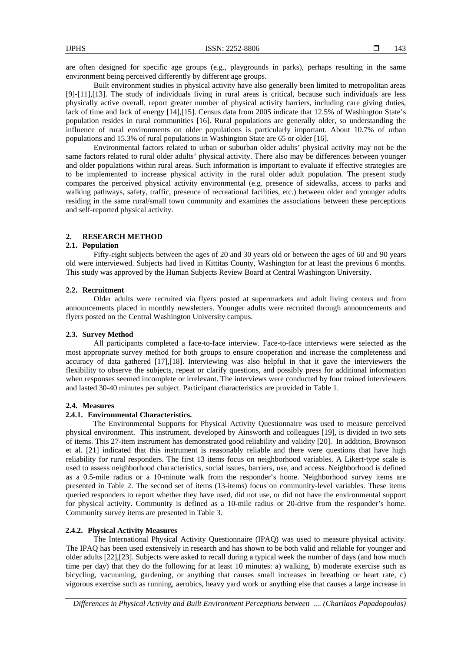are often designed for specific age groups (e.g., playgrounds in parks), perhaps resulting in the same environment being perceived differently by different age groups.

Built environment studies in physical activity have also generally been limited to metropolitan areas [9]-[11],[13]. The study of individuals living in rural areas is critical, because such individuals are less physically active overall, report greater number of physical activity barriers, including care giving duties, lack of time and lack of energy [14],[15]. Census data from 2005 indicate that 12.5% of Washington State's population resides in rural communities [16]. Rural populations are generally older, so understanding the influence of rural environments on older populations is particularly important. About 10.7% of urban populations and 15.3% of rural populations in Washington State are 65 or older [16].

Environmental factors related to urban or suburban older adults' physical activity may not be the same factors related to rural older adults' physical activity. There also may be differences between younger and older populations within rural areas. Such information is important to evaluate if effective strategies are to be implemented to increase physical activity in the rural older adult population. The present study compares the perceived physical activity environmental (e.g. presence of sidewalks, access to parks and walking pathways, safety, traffic, presence of recreational facilities, etc.) between older and younger adults residing in the same rural/small town community and examines the associations between these perceptions and self-reported physical activity.

# **2. RESEARCH METHOD**

# **2.1. Population**

Fifty-eight subjects between the ages of 20 and 30 years old or between the ages of 60 and 90 years old were interviewed. Subjects had lived in Kittitas County, Washington for at least the previous 6 months. This study was approved by the Human Subjects Review Board at Central Washington University.

#### **2.2. Recruitment**

 Older adults were recruited via flyers posted at supermarkets and adult living centers and from announcements placed in monthly newsletters. Younger adults were recruited through announcements and flyers posted on the Central Washington University campus.

# **2.3. Survey Method**

All participants completed a face-to-face interview. Face-to-face interviews were selected as the most appropriate survey method for both groups to ensure cooperation and increase the completeness and accuracy of data gathered [17],[18]. Interviewing was also helpful in that it gave the interviewers the flexibility to observe the subjects, repeat or clarify questions, and possibly press for additional information when responses seemed incomplete or irrelevant. The interviews were conducted by four trained interviewers and lasted 30-40 minutes per subject. Participant characteristics are provided in Table 1.

# **2.4. Measures**

#### **2.4.1. Environmental Characteristics.**

The Environmental Supports for Physical Activity Questionnaire was used to measure perceived physical environment. This instrument, developed by Ainsworth and colleagues [19], is divided in two sets of items. This 27-item instrument has demonstrated good reliability and validity [20]. In addition, Brownson et al. [21] indicated that this instrument is reasonably reliable and there were questions that have high reliability for rural responders. The first 13 items focus on neighborhood variables. A Likert-type scale is used to assess neighborhood characteristics, social issues, barriers, use, and access. Neighborhood is defined as a 0.5-mile radius or a 10-minute walk from the responder's home. Neighborhood survey items are presented in Table 2. The second set of items (13-items) focus on community-level variables. These items queried responders to report whether they have used, did not use, or did not have the environmental support for physical activity. Community is defined as a 10-mile radius or 20-drive from the responder's home. Community survey items are presented in Table 3.

# **2.4.2. Physical Activity Measures**

The International Physical Activity Questionnaire (IPAQ) was used to measure physical activity. The IPAQ has been used extensively in research and has shown to be both valid and reliable for younger and older adults [22],[23]. Subjects were asked to recall during a typical week the number of days (and how much time per day) that they do the following for at least 10 minutes: a) walking, b) moderate exercise such as bicycling, vacuuming, gardening, or anything that causes small increases in breathing or heart rate, c) vigorous exercise such as running, aerobics, heavy yard work or anything else that causes a large increase in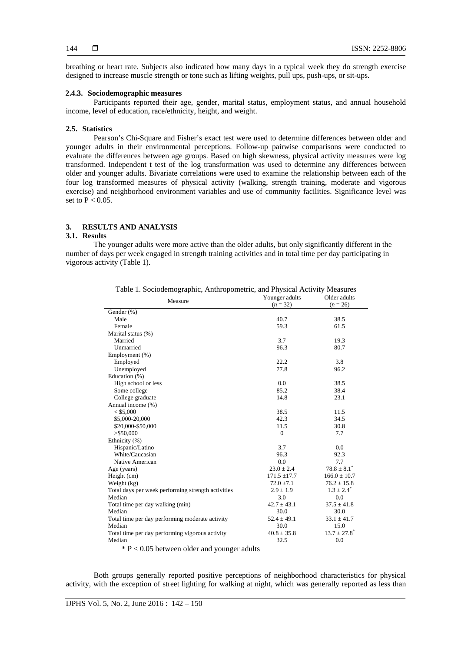breathing or heart rate. Subjects also indicated how many days in a typical week they do strength exercise designed to increase muscle strength or tone such as lifting weights, pull ups, push-ups, or sit-ups.

# **2.4.3. Sociodemographic measures**

Participants reported their age, gender, marital status, employment status, and annual household income, level of education, race/ethnicity, height, and weight.

# **2.5. Statistics**

 Pearson's Chi-Square and Fisher's exact test were used to determine differences between older and younger adults in their environmental perceptions. Follow-up pairwise comparisons were conducted to evaluate the differences between age groups. Based on high skewness, physical activity measures were log transformed. Independent t test of the log transformation was used to determine any differences between older and younger adults. Bivariate correlations were used to examine the relationship between each of the four log transformed measures of physical activity (walking, strength training, moderate and vigorous exercise) and neighborhood environment variables and use of community facilities. Significance level was set to  $P < 0.05$ .

# **3. RESULTS AND ANALYSIS**

# **3.1. Results**

The younger adults were more active than the older adults, but only significantly different in the number of days per week engaged in strength training activities and in total time per day participating in vigorous activity (Table 1).

| Table 1. Sociodemographic, Anthropometric, and Physical Activity Measures |                  |                              |  |  |  |
|---------------------------------------------------------------------------|------------------|------------------------------|--|--|--|
| Measure                                                                   | Younger adults   | Older adults                 |  |  |  |
|                                                                           | $(n = 32)$       | $(n = 26)$                   |  |  |  |
| Gender (%)                                                                |                  |                              |  |  |  |
| Male                                                                      | 40.7             | 38.5                         |  |  |  |
| Female                                                                    | 59.3             | 61.5                         |  |  |  |
| Marital status (%)                                                        |                  |                              |  |  |  |
| Married                                                                   | 3.7              | 19.3                         |  |  |  |
| Unmarried                                                                 | 96.3             | 80.7                         |  |  |  |
| Employment (%)                                                            |                  |                              |  |  |  |
| Employed                                                                  | 22.2             | 3.8                          |  |  |  |
| Unemployed                                                                | 77.8             | 96.2                         |  |  |  |
| Education (%)                                                             |                  |                              |  |  |  |
| High school or less                                                       | $0.0^{\circ}$    | 38.5                         |  |  |  |
| Some college                                                              | 85.2             | 38.4                         |  |  |  |
| College graduate                                                          | 14.8             | 23.1                         |  |  |  |
| Annual income (%)                                                         |                  |                              |  |  |  |
| $<$ \$5,000                                                               | 38.5             | 11.5                         |  |  |  |
| \$5,000-20,000                                                            | 42.3             | 34.5                         |  |  |  |
| \$20,000-\$50,000                                                         | 11.5             | 30.8                         |  |  |  |
| $>$ \$50,000                                                              | $\Omega$         | 7.7                          |  |  |  |
| Ethnicity (%)                                                             |                  |                              |  |  |  |
| Hispanic/Latino                                                           | 3.7              | 0.0                          |  |  |  |
| White/Caucasian                                                           | 96.3             | 92.3                         |  |  |  |
| Native American                                                           | 0.0              | 7.7                          |  |  |  |
| Age (years)                                                               | $23.0 \pm 2.4$   | $78.8 \pm 8.1^*$             |  |  |  |
| Height (cm)                                                               | $171.5 \pm 17.7$ | $166.0 \pm 10.7$             |  |  |  |
| Weight (kg)                                                               | $72.0 \pm 7.1$   | $76.2 \pm 15.8$              |  |  |  |
| Total days per week performing strength activities                        | $2.9 \pm 1.9$    | $1.3 \pm 2.4^*$              |  |  |  |
| Median                                                                    | 3.0              | 0.0                          |  |  |  |
| Total time per day walking (min)                                          | $42.7 \pm 43.1$  | $37.5 \pm 41.8$              |  |  |  |
| Median                                                                    | 30.0             | 30.0                         |  |  |  |
| Total time per day performing moderate activity                           | $52.4 \pm 49.1$  | $33.1 \pm 41.7$              |  |  |  |
| Median                                                                    | 30.0             | 15.0                         |  |  |  |
| Total time per day performing vigorous activity                           | $40.8 \pm 35.8$  | $13.7 \pm 27.8$ <sup>*</sup> |  |  |  |
| Median                                                                    | 32.5             | 0.0                          |  |  |  |

 $* P < 0.05$  between older and younger adults

Both groups generally reported positive perceptions of neighborhood characteristics for physical activity, with the exception of street lighting for walking at night, which was generally reported as less than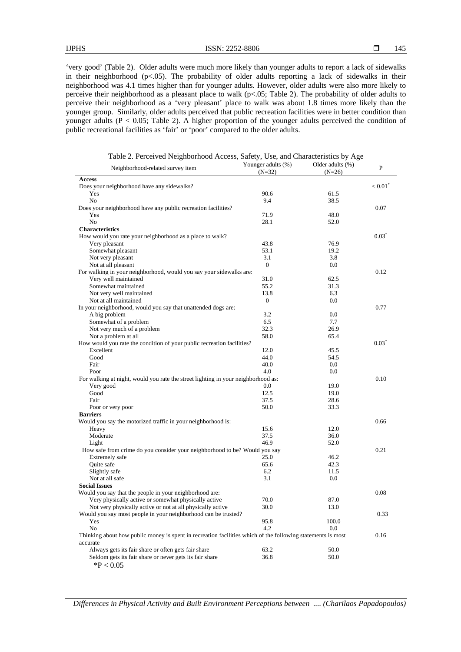'very good' (Table 2). Older adults were much more likely than younger adults to report a lack of sidewalks in their neighborhood (p<.05). The probability of older adults reporting a lack of sidewalks in their neighborhood was 4.1 times higher than for younger adults. However, older adults were also more likely to perceive their neighborhood as a pleasant place to walk (p<.05; Table 2). The probability of older adults to perceive their neighborhood as a 'very pleasant' place to walk was about 1.8 times more likely than the younger group. Similarly, older adults perceived that public recreation facilities were in better condition than younger adults ( $P < 0.05$ ; Table 2). A higher proportion of the younger adults perceived the condition of public recreational facilities as 'fair' or 'poor' compared to the older adults.

Table 2. Perceived Neighborhood Access, Safety, Use, and Characteristics by Age

| Neighborhood-related survey item                                                                            | Younger adults (%)<br>$(N=32)$ | Older adults (%)<br>$(N=26)$ | $\mathbf{P}$ |
|-------------------------------------------------------------------------------------------------------------|--------------------------------|------------------------------|--------------|
| <b>Access</b>                                                                                               |                                |                              |              |
| Does your neighborhood have any sidewalks?                                                                  |                                |                              | < 0.01       |
| Yes                                                                                                         | 90.6                           | 61.5                         |              |
| No                                                                                                          | 9.4                            | 38.5                         |              |
| Does your neighborhood have any public recreation facilities?                                               |                                |                              | 0.07         |
| Yes                                                                                                         | 71.9                           | 48.0                         |              |
| N <sub>0</sub>                                                                                              | 28.1                           | 52.0                         |              |
| <b>Characteristics</b>                                                                                      |                                |                              |              |
| How would you rate your neighborhood as a place to walk?                                                    |                                |                              | $0.03*$      |
| Very pleasant                                                                                               | 43.8                           | 76.9                         |              |
| Somewhat pleasant                                                                                           | 53.1                           | 19.2                         |              |
| Not very pleasant                                                                                           | 3.1                            | 3.8                          |              |
| Not at all pleasant                                                                                         | $\overline{0}$                 | 0.0                          |              |
| For walking in your neighborhood, would you say your sidewalks are:                                         |                                |                              | 0.12         |
| Very well maintained                                                                                        | 31.0                           | 62.5                         |              |
| Somewhat maintained                                                                                         | 55.2                           | 31.3                         |              |
| Not very well maintained                                                                                    | 13.8                           | 6.3                          |              |
| Not at all maintained                                                                                       | $\overline{0}$                 | 0.0                          |              |
| In your neighborhood, would you say that unattended dogs are:                                               |                                |                              | 0.77         |
| A big problem                                                                                               | 3.2                            | 0.0                          |              |
| Somewhat of a problem                                                                                       | 6.5                            | 7.7                          |              |
| Not very much of a problem                                                                                  | 32.3                           | 26.9                         |              |
| Not a problem at all                                                                                        | 58.0                           | 65.4                         |              |
| How would you rate the condition of your public recreation facilities?                                      |                                |                              | $0.03*$      |
| Excellent                                                                                                   | 12.0                           | 45.5                         |              |
| Good                                                                                                        | 44.0                           | 54.5                         |              |
| Fair                                                                                                        | 40.0                           | 0.0                          |              |
|                                                                                                             | 4.0                            | 0.0                          |              |
| Poor                                                                                                        |                                |                              | 0.10         |
| For walking at night, would you rate the street lighting in your neighborhood as:                           |                                |                              |              |
| Very good                                                                                                   | 0.0<br>12.5                    | 19.0                         |              |
| Good                                                                                                        |                                | 19.0                         |              |
| Fair                                                                                                        | 37.5                           | 28.6<br>33.3                 |              |
| Poor or very poor                                                                                           | 50.0                           |                              |              |
| <b>Barriers</b>                                                                                             |                                |                              |              |
| Would you say the motorized traffic in your neighborhood is:                                                |                                |                              | 0.66         |
| Heavy                                                                                                       | 15.6                           | 12.0                         |              |
| Moderate                                                                                                    | 37.5                           | 36.0                         |              |
| Light                                                                                                       | 46.9                           | 52.0                         |              |
| How safe from crime do you consider your neighborhood to be? Would you say                                  |                                |                              | 0.21         |
| Extremely safe                                                                                              | 25.0                           | 46.2                         |              |
| Quite safe                                                                                                  | 65.6                           | 42.3                         |              |
| Slightly safe                                                                                               | 6.2                            | 11.5                         |              |
| Not at all safe                                                                                             | 3.1                            | 0.0                          |              |
| <b>Social Issues</b>                                                                                        |                                |                              |              |
| Would you say that the people in your neighborhood are:                                                     |                                |                              | 0.08         |
| Very physically active or somewhat physically active                                                        | 70.0                           | 87.0                         |              |
| Not very physically active or not at all physically active                                                  | 30.0                           | 13.0                         |              |
| Would you say most people in your neighborhood can be trusted?                                              |                                |                              | 0.33         |
| Yes                                                                                                         | 95.8                           | 100.0                        |              |
| No                                                                                                          | 4.2                            | $0.0\,$                      |              |
| Thinking about how public money is spent in recreation facilities which of the following statements is most |                                |                              | 0.16         |
| accurate                                                                                                    |                                |                              |              |
| Always gets its fair share or often gets fair share                                                         | 63.2                           | 50.0                         |              |
| Seldom gets its fair share or never gets its fair share                                                     | 36.8                           | 50.0                         |              |
| $*P < 0.05$                                                                                                 |                                |                              |              |

*Differences in Physical Activity and Built Environment Perceptions between .... (Charilaos Papadopoulos)*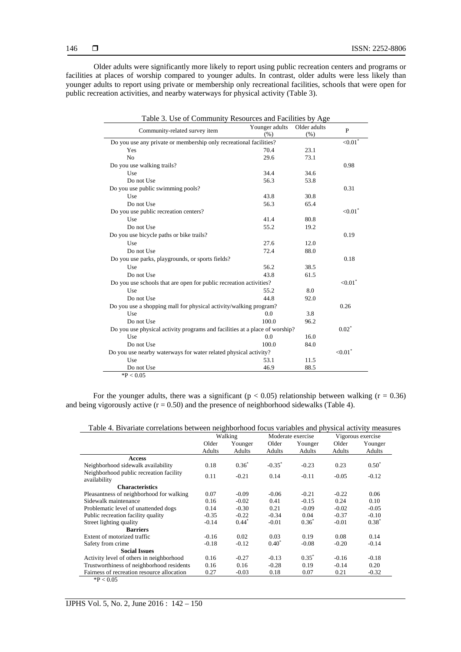Older adults were significantly more likely to report using public recreation centers and programs or facilities at places of worship compared to younger adults. In contrast, older adults were less likely than younger adults to report using private or membership only recreational facilities, schools that were open for public recreation activities, and nearby waterways for physical activity (Table 3).

| Table 3. Use of Community Resources and Facilities by Age                   |                |              |                        |  |  |  |
|-----------------------------------------------------------------------------|----------------|--------------|------------------------|--|--|--|
| Community-related survey item                                               | Younger adults | Older adults | P                      |  |  |  |
|                                                                             | $(\% )$        | (% )         |                        |  |  |  |
| Do you use any private or membership only recreational facilities?          |                |              |                        |  |  |  |
| Yes                                                                         | 70.4           | 23.1         |                        |  |  |  |
| No                                                                          | 29.6           | 73.1         |                        |  |  |  |
| Do you use walking trails?                                                  |                |              | 0.98                   |  |  |  |
| Use                                                                         | 34.4           | 34.6         |                        |  |  |  |
| Do not Use                                                                  | 56.3           | 53.8         |                        |  |  |  |
| Do you use public swimming pools?                                           |                |              | 0.31                   |  |  |  |
| Use                                                                         | 43.8           | 30.8         |                        |  |  |  |
| Do not Use                                                                  | 56.3           | 65.4         |                        |  |  |  |
| Do you use public recreation centers?                                       |                |              | ${<}0.01^*$            |  |  |  |
| Use                                                                         | 41.4           | 80.8         |                        |  |  |  |
| Do not Use                                                                  | 55.2           | 19.2         |                        |  |  |  |
| Do you use bicycle paths or bike trails?                                    |                |              | 0.19                   |  |  |  |
| Use                                                                         | 27.6           | 12.0         |                        |  |  |  |
| Do not Use                                                                  | 72.4           | 88.0         |                        |  |  |  |
| Do you use parks, playgrounds, or sports fields?                            |                |              | 0.18                   |  |  |  |
| Use                                                                         | 56.2           | 38.5         |                        |  |  |  |
| Do not Use                                                                  | 43.8           | 61.5         |                        |  |  |  |
| Do you use schools that are open for public recreation activities?          |                |              | ${<}0.01$ <sup>*</sup> |  |  |  |
| Use                                                                         | 55.2           | 8.0          |                        |  |  |  |
| Do not Use                                                                  | 44.8           | 92.0         |                        |  |  |  |
| Do you use a shopping mall for physical activity/walking program?           |                |              |                        |  |  |  |
| Use                                                                         | 0.0            | 3.8          |                        |  |  |  |
| Do not Use                                                                  | 100.0          | 96.2         |                        |  |  |  |
| Do you use physical activity programs and facilities at a place of worship? |                |              |                        |  |  |  |
| Use                                                                         | 0.0            | 16.0         |                        |  |  |  |
| Do not Use                                                                  | 100.0          | 84.0         |                        |  |  |  |
| Do you use nearby waterways for water related physical activity?            |                |              | ${<}0.01$ <sup>*</sup> |  |  |  |
| Use                                                                         | 53.1           | 11.5         |                        |  |  |  |
| Do not Use                                                                  | 46.9           | 88.5         |                        |  |  |  |
| $*P < 0.05$                                                                 |                |              |                        |  |  |  |

For the younger adults, there was a significant ( $p < 0.05$ ) relationship between walking ( $r = 0.36$ ) and being vigorously active  $(r = 0.50)$  and the presence of neighborhood sidewalks (Table 4).

| Table 4. Bivariate correlations between neighborhood focus variables and physical activity measures |
|-----------------------------------------------------------------------------------------------------|
|-----------------------------------------------------------------------------------------------------|

|                                                         | Walking |          | Moderate exercise    |          | Vigorous exercise |          |
|---------------------------------------------------------|---------|----------|----------------------|----------|-------------------|----------|
|                                                         | Older   | Younger  | Older                | Younger  | Older             | Younger  |
|                                                         | Adults  | Adults   | Adults               | Adults   | Adults            | Adults   |
| <b>Access</b>                                           |         |          |                      |          |                   |          |
| Neighborhood sidewalk availability                      | 0.18    | $0.36^*$ | $-0.35$ <sup>*</sup> | $-0.23$  | 0.23              | $0.50^*$ |
| Neighborhood public recreation facility<br>availability | 0.11    | $-0.21$  | 0.14                 | $-0.11$  | $-0.05$           | $-0.12$  |
| <b>Characteristics</b>                                  |         |          |                      |          |                   |          |
| Pleasantness of neighborhood for walking                | 0.07    | $-0.09$  | $-0.06$              | $-0.21$  | $-0.22$           | 0.06     |
| Sidewalk maintenance                                    | 0.16    | $-0.02$  | 0.41                 | $-0.15$  | 0.24              | 0.10     |
| Problematic level of unattended dogs                    | 0.14    | $-0.30$  | 0.21                 | $-0.09$  | $-0.02$           | $-0.05$  |
| Public recreation facility quality                      | $-0.35$ | $-0.22$  | $-0.34$              | 0.04     | $-0.37$           | $-0.10$  |
| Street lighting quality                                 | $-0.14$ | $0.44*$  | $-0.01$              | $0.36^*$ | $-0.01$           | $0.38^*$ |
| <b>Barriers</b>                                         |         |          |                      |          |                   |          |
| Extent of motorized traffic                             | $-0.16$ | 0.02     | 0.03                 | 0.19     | 0.08              | 0.14     |
| Safety from crime                                       | $-0.18$ | $-0.12$  | $0.40^*$             | $-0.08$  | $-0.20$           | $-0.14$  |
| <b>Social Issues</b>                                    |         |          |                      |          |                   |          |
| Activity level of others in neighborhood                | 0.16    | $-0.27$  | $-0.13$              | $0.35^*$ | $-0.16$           | $-0.18$  |
| Trustworthiness of neighborhood residents               | 0.16    | 0.16     | $-0.28$              | 0.19     | $-0.14$           | 0.20     |
| Fairness of recreation resource allocation              | 0.27    | $-0.03$  | 0.18                 | 0.07     | 0.21              | $-0.32$  |

 $*P < 0.05$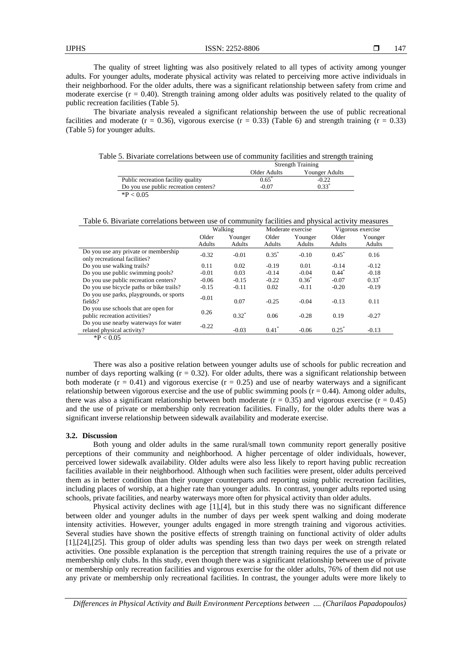The quality of street lighting was also positively related to all types of activity among younger adults. For younger adults, moderate physical activity was related to perceiving more active individuals in their neighborhood. For the older adults, there was a significant relationship between safety from crime and moderate exercise  $(r = 0.40)$ . Strength training among older adults was positively related to the quality of public recreation facilities (Table 5).

The bivariate analysis revealed a significant relationship between the use of public recreational facilities and moderate ( $r = 0.36$ ), vigorous exercise ( $r = 0.33$ ) (Table 6) and strength training ( $r = 0.33$ ) (Table 5) for younger adults.

Table 5. Bivariate correlations between use of community facilities and strength training

|                                       | <b>Strength Training</b> |                |  |
|---------------------------------------|--------------------------|----------------|--|
|                                       | Older Adults             | Younger Adults |  |
| Public recreation facility quality    | $0.65^{\degree}$         | $-0.22$        |  |
| Do you use public recreation centers? | $-0.07$                  | $0.33*$        |  |
| $*P < 0.05$                           |                          |                |  |

Table 6. Bivariate correlations between use of community facilities and physical activity measures

|                                                                                                           | Walking |          | Moderate exercise |          | Vigorous exercise |         |
|-----------------------------------------------------------------------------------------------------------|---------|----------|-------------------|----------|-------------------|---------|
|                                                                                                           | Older   | Younger  | Older             | Younger  | Older             | Younger |
|                                                                                                           | Adults  | Adults   | Adults            | Adults   | Adults            | Adults  |
| Do you use any private or membership<br>only recreational facilities?                                     | $-0.32$ | $-0.01$  | $0.35^*$          | $-0.10$  | $0.45^*$          | 0.16    |
| Do you use walking trails?                                                                                | 0.11    | 0.02     | $-0.19$           | 0.01     | $-0.14$           | $-0.12$ |
| Do you use public swimming pools?                                                                         | $-0.01$ | 0.03     | $-0.14$           | $-0.04$  | $0.44^{\degree}$  | $-0.18$ |
| Do you use public recreation centers?                                                                     | $-0.06$ | $-0.15$  | $-0.22$           | $0.36^*$ | $-0.07$           | $0.33*$ |
| Do you use bicycle paths or bike trails?                                                                  | $-0.15$ | $-0.11$  | 0.02              | $-0.11$  | $-0.20$           | $-0.19$ |
| Do you use parks, playgrounds, or sports<br>fields?                                                       | $-0.01$ | 0.07     | $-0.25$           | $-0.04$  | $-0.13$           | 0.11    |
| Do you use schools that are open for<br>public recreation activities?                                     | 0.26    | $0.32^*$ | 0.06              | $-0.28$  | 0.19              | $-0.27$ |
| Do you use nearby waterways for water<br>related physical activity?<br>$\sim$ $\sim$ $\sim$ $\sim$ $\sim$ | $-0.22$ | $-0.03$  | $0.41^*$          | $-0.06$  | $0.25^*$          | $-0.13$ |

 $*P < 0.05$ 

There was also a positive relation between younger adults use of schools for public recreation and number of days reporting walking  $(r = 0.32)$ . For older adults, there was a significant relationship between both moderate  $(r = 0.41)$  and vigorous exercise  $(r = 0.25)$  and use of nearby waterways and a significant relationship between vigorous exercise and the use of public swimming pools  $(r = 0.44)$ . Among older adults, there was also a significant relationship between both moderate ( $r = 0.35$ ) and vigorous exercise ( $r = 0.45$ ) and the use of private or membership only recreation facilities. Finally, for the older adults there was a significant inverse relationship between sidewalk availability and moderate exercise.

#### **3.2. Discussion**

Both young and older adults in the same rural/small town community report generally positive perceptions of their community and neighborhood. A higher percentage of older individuals, however, perceived lower sidewalk availability. Older adults were also less likely to report having public recreation facilities available in their neighborhood. Although when such facilities were present, older adults perceived them as in better condition than their younger counterparts and reporting using public recreation facilities, including places of worship, at a higher rate than younger adults. In contrast, younger adults reported using schools, private facilities, and nearby waterways more often for physical activity than older adults.

Physical activity declines with age [1],[4], but in this study there was no significant difference between older and younger adults in the number of days per week spent walking and doing moderate intensity activities. However, younger adults engaged in more strength training and vigorous activities. Several studies have shown the positive effects of strength training on functional activity of older adults [1],[24],[25]. This group of older adults was spending less than two days per week on strength related activities. One possible explanation is the perception that strength training requires the use of a private or membership only clubs. In this study, even though there was a significant relationship between use of private or membership only recreation facilities and vigorous exercise for the older adults, 76% of them did not use any private or membership only recreational facilities. In contrast, the younger adults were more likely to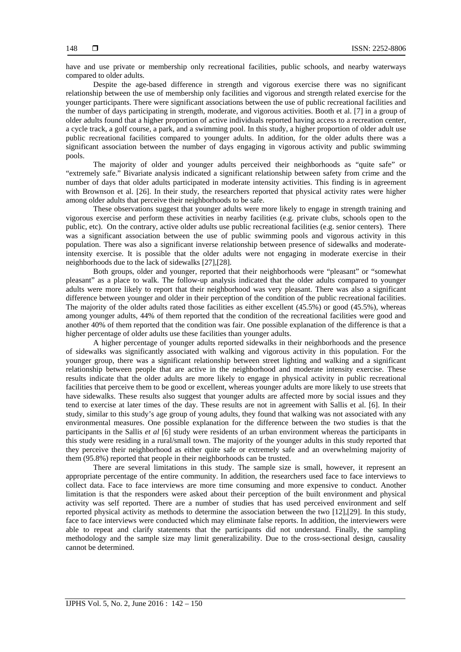have and use private or membership only recreational facilities, public schools, and nearby waterways compared to older adults.

Despite the age-based difference in strength and vigorous exercise there was no significant relationship between the use of membership only facilities and vigorous and strength related exercise for the younger participants. There were significant associations between the use of public recreational facilities and the number of days participating in strength, moderate, and vigorous activities. Booth et al. [7] in a group of older adults found that a higher proportion of active individuals reported having access to a recreation center, a cycle track, a golf course, a park, and a swimming pool. In this study, a higher proportion of older adult use public recreational facilities compared to younger adults. In addition, for the older adults there was a significant association between the number of days engaging in vigorous activity and public swimming pools.

The majority of older and younger adults perceived their neighborhoods as "quite safe" or "extremely safe." Bivariate analysis indicated a significant relationship between safety from crime and the number of days that older adults participated in moderate intensity activities. This finding is in agreement with Brownson et al. [26]. In their study, the researchers reported that physical activity rates were higher among older adults that perceive their neighborhoods to be safe.

These observations suggest that younger adults were more likely to engage in strength training and vigorous exercise and perform these activities in nearby facilities (e.g. private clubs, schools open to the public, etc). On the contrary, active older adults use public recreational facilities (e.g. senior centers). There was a significant association between the use of public swimming pools and vigorous activity in this population. There was also a significant inverse relationship between presence of sidewalks and moderateintensity exercise. It is possible that the older adults were not engaging in moderate exercise in their neighborhoods due to the lack of sidewalks [27],[28].

Both groups, older and younger, reported that their neighborhoods were "pleasant" or "somewhat pleasant" as a place to walk. The follow-up analysis indicated that the older adults compared to younger adults were more likely to report that their neighborhood was very pleasant. There was also a significant difference between younger and older in their perception of the condition of the public recreational facilities. The majority of the older adults rated those facilities as either excellent (45.5%) or good (45.5%), whereas among younger adults, 44% of them reported that the condition of the recreational facilities were good and another 40% of them reported that the condition was fair. One possible explanation of the difference is that a higher percentage of older adults use these facilities than younger adults.

A higher percentage of younger adults reported sidewalks in their neighborhoods and the presence of sidewalks was significantly associated with walking and vigorous activity in this population. For the younger group, there was a significant relationship between street lighting and walking and a significant relationship between people that are active in the neighborhood and moderate intensity exercise. These results indicate that the older adults are more likely to engage in physical activity in public recreational facilities that perceive them to be good or excellent, whereas younger adults are more likely to use streets that have sidewalks. These results also suggest that younger adults are affected more by social issues and they tend to exercise at later times of the day. These results are not in agreement with Sallis et al. [6]. In their study, similar to this study's age group of young adults, they found that walking was not associated with any environmental measures. One possible explanation for the difference between the two studies is that the participants in the Sallis *et al* [6] study were residents of an urban environment whereas the participants in this study were residing in a rural/small town. The majority of the younger adults in this study reported that they perceive their neighborhood as either quite safe or extremely safe and an overwhelming majority of them (95.8%) reported that people in their neighborhoods can be trusted.

There are several limitations in this study. The sample size is small, however, it represent an appropriate percentage of the entire community. In addition, the researchers used face to face interviews to collect data. Face to face interviews are more time consuming and more expensive to conduct. Another limitation is that the responders were asked about their perception of the built environment and physical activity was self reported. There are a number of studies that has used perceived environment and self reported physical activity as methods to determine the association between the two [12],[29]. In this study, face to face interviews were conducted which may eliminate false reports. In addition, the interviewers were able to repeat and clarify statements that the participants did not understand. Finally, the sampling methodology and the sample size may limit generalizability. Due to the cross-sectional design, causality cannot be determined.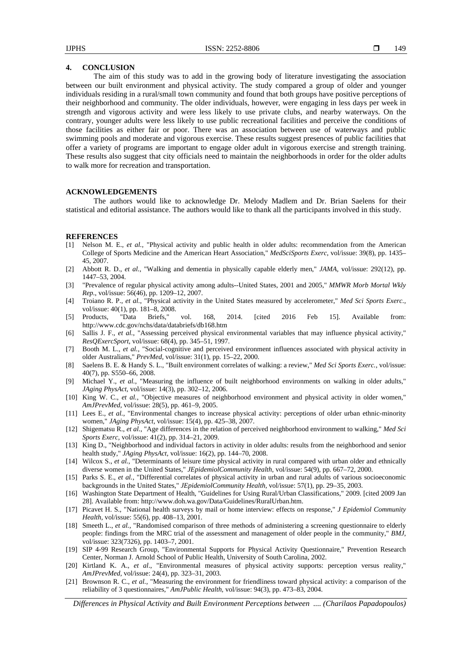## **4. CONCLUSION**

The aim of this study was to add in the growing body of literature investigating the association between our built environment and physical activity. The study compared a group of older and younger individuals residing in a rural/small town community and found that both groups have positive perceptions of their neighborhood and community. The older individuals, however, were engaging in less days per week in strength and vigorous activity and were less likely to use private clubs, and nearby waterways. On the contrary, younger adults were less likely to use public recreational facilities and perceive the conditions of those facilities as either fair or poor. There was an association between use of waterways and public swimming pools and moderate and vigorous exercise. These results suggest presences of public facilities that offer a variety of programs are important to engage older adult in vigorous exercise and strength training. These results also suggest that city officials need to maintain the neighborhoods in order for the older adults to walk more for recreation and transportation.

# **ACKNOWLEDGEMENTS**

The authors would like to acknowledge Dr. Melody Madlem and Dr. Brian Saelens for their statistical and editorial assistance. The authors would like to thank all the participants involved in this study.

#### **REFERENCES**

- [1] Nelson M. E., *et al.*, "Physical activity and public health in older adults: recommendation from the American College of Sports Medicine and the American Heart Association," *MedSciSports Exerc*, vol/issue: 39(8), pp. 1435– 45, 2007.
- [2] Abbott R. D., *et al.*, "Walking and dementia in physically capable elderly men," *JAMA,* vol/issue: 292(12), pp. 1447–53, 2004.
- [3] "Prevalence of regular physical activity among adults--United States, 2001 and 2005," *MMWR Morb Mortal Wkly Rep.*, vol/issue: 56(46), pp. 1209–12, 2007.
- [4] Troiano R. P., *et al.*, "Physical activity in the United States measured by accelerometer," *Med Sci Sports Exerc.,*  vol/issue: 40(1), pp. 181–8, 2008.
- [5] Products, "Data Briefs," vol. 168, 2014. [cited 2016 Feb 15]. Available from: http://www.cdc.gov/nchs/data/databriefs/db168.htm
- [6] Sallis J. F., *et al.*, "Assessing perceived physical environmental variables that may influence physical activity," *ResQExercSport*, vol/issue: 68(4), pp. 345–51, 1997.
- [7] Booth M. L., *et al.*, "Social-cognitive and perceived environment influences associated with physical activity in older Australians," *PrevMed*, vol/issue: 31(1), pp. 15–22, 2000.
- [8] Saelens B. E. & Handy S. L., "Built environment correlates of walking: a review," *Med Sci Sports Exerc.*, vol/issue: 40(7), pp. S550–66, 2008.
- [9] Michael Y., *et al.*, "Measuring the influence of built neighborhood environments on walking in older adults," *JAging PhysAct,* vol/issue: 14(3), pp. 302–12, 2006.
- [10] King W. C., *et al.*, "Objective measures of neighborhood environment and physical activity in older women," *AmJPrevMed,* vol/issue: 28(5), pp. 461–9, 2005.
- [11] Lees E., *et al.*, "Environmental changes to increase physical activity: perceptions of older urban ethnic-minority women," *JAging PhysAct,* vol/issue: 15(4), pp. 425–38, 2007.
- [12] Shigematsu R., *et al.*, "Age differences in the relation of perceived neighborhood environment to walking," *Med Sci Sports Exerc,* vol/issue: 41(2), pp. 314–21, 2009.
- [13] King D., "Neighborhood and individual factors in activity in older adults: results from the neighborhood and senior health study," *JAging PhysAct,* vol/issue: 16(2), pp. 144–70, 2008.
- [14] Wilcox S., *et al.*, "Determinants of leisure time physical activity in rural compared with urban older and ethnically diverse women in the United States," *JEpidemiolCommunity Health,* vol/issue: 54(9), pp. 667–72, 2000.
- [15] Parks S. E., *et al.*, "Differential correlates of physical activity in urban and rural adults of various socioeconomic backgrounds in the United States," *JEpidemiolCommunity Health,* vol/issue: 57(1), pp. 29–35, 2003.
- [16] Washington State Department of Health, "Guidelines for Using Rural/Urban Classifications," 2009. [cited 2009 Jan 28]. Available from: http://www.doh.wa.gov/Data/Guidelines/RuralUrban.htm.
- [17] Picavet H. S., "National health surveys by mail or home interview: effects on response," *J Epidemiol Community Health,* vol/issue: 55(6), pp. 408–13, 2001.
- [18] Smeeth L., *et al.*, "Randomised comparison of three methods of administering a screening questionnaire to elderly people: findings from the MRC trial of the assessment and management of older people in the community," *BMJ,* vol/issue: 323(7326), pp. 1403–7, 2001.
- [19] SIP 4-99 Research Group, "Environmental Supports for Physical Activity Questionnaire," Prevention Research Center, Norman J. Arnold School of Public Health, University of South Carolina, 2002.
- [20] Kirtland K. A., *et al*., "Environmental measures of physical activity supports: perception versus reality," *AmJPrevMed,* vol/issue: 24(4), pp. 323–31, 2003.
- [21] Brownson R. C., *et al.*, "Measuring the environment for friendliness toward physical activity: a comparison of the reliability of 3 questionnaires," *AmJPublic Health,* vol/issue: 94(3), pp. 473–83, 2004.